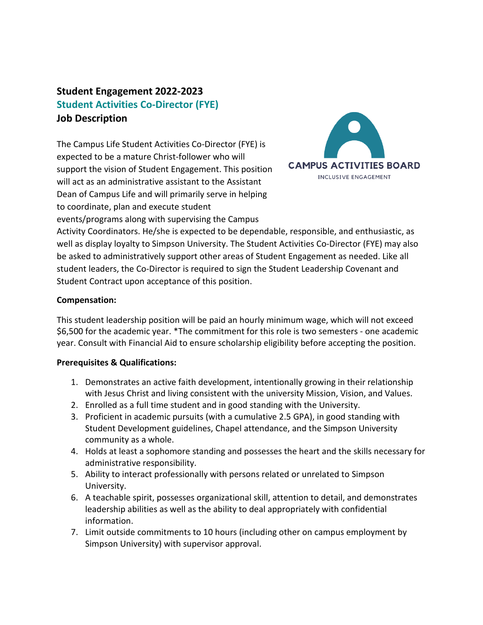# **Student Engagement 2022-2023 Student Activities Co-Director (FYE) Job Description**

The Campus Life Student Activities Co-Director (FYE) is expected to be a mature Christ-follower who will support the vision of Student Engagement. This position will act as an administrative assistant to the Assistant Dean of Campus Life and will primarily serve in helping to coordinate, plan and execute student events/programs along with supervising the Campus



Activity Coordinators. He/she is expected to be dependable, responsible, and enthusiastic, as well as display loyalty to Simpson University. The Student Activities Co-Director (FYE) may also be asked to administratively support other areas of Student Engagement as needed. Like all student leaders, the Co-Director is required to sign the Student Leadership Covenant and Student Contract upon acceptance of this position.

### **Compensation:**

This student leadership position will be paid an hourly minimum wage, which will not exceed \$6,500 for the academic year. \*The commitment for this role is two semesters - one academic year. Consult with Financial Aid to ensure scholarship eligibility before accepting the position.

## **Prerequisites & Qualifications:**

- 1. Demonstrates an active faith development, intentionally growing in their relationship with Jesus Christ and living consistent with the university Mission, Vision, and Values.
- 2. Enrolled as a full time student and in good standing with the University.
- 3. Proficient in academic pursuits (with a cumulative 2.5 GPA), in good standing with Student Development guidelines, Chapel attendance, and the Simpson University community as a whole.
- 4. Holds at least a sophomore standing and possesses the heart and the skills necessary for administrative responsibility.
- 5. Ability to interact professionally with persons related or unrelated to Simpson University.
- 6. A teachable spirit, possesses organizational skill, attention to detail, and demonstrates leadership abilities as well as the ability to deal appropriately with confidential information.
- 7. Limit outside commitments to 10 hours (including other on campus employment by Simpson University) with supervisor approval.